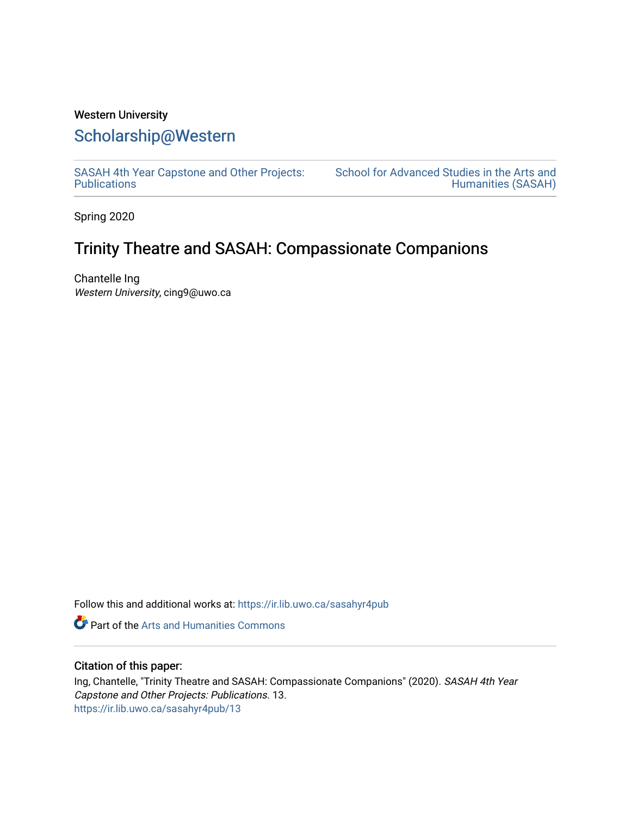## Western University [Scholarship@Western](https://ir.lib.uwo.ca/)

[SASAH 4th Year Capstone and Other Projects:](https://ir.lib.uwo.ca/sasahyr4pub)  **Publications** 

[School for Advanced Studies in the Arts and](https://ir.lib.uwo.ca/sasah)  [Humanities \(SASAH\)](https://ir.lib.uwo.ca/sasah) 

Spring 2020

## Trinity Theatre and SASAH: Compassionate Companions

Chantelle Ing Western University, cing9@uwo.ca

Follow this and additional works at: [https://ir.lib.uwo.ca/sasahyr4pub](https://ir.lib.uwo.ca/sasahyr4pub?utm_source=ir.lib.uwo.ca%2Fsasahyr4pub%2F13&utm_medium=PDF&utm_campaign=PDFCoverPages) 

Part of the [Arts and Humanities Commons](http://network.bepress.com/hgg/discipline/438?utm_source=ir.lib.uwo.ca%2Fsasahyr4pub%2F13&utm_medium=PDF&utm_campaign=PDFCoverPages) 

## Citation of this paper:

Ing, Chantelle, "Trinity Theatre and SASAH: Compassionate Companions" (2020). SASAH 4th Year Capstone and Other Projects: Publications. 13. [https://ir.lib.uwo.ca/sasahyr4pub/13](https://ir.lib.uwo.ca/sasahyr4pub/13?utm_source=ir.lib.uwo.ca%2Fsasahyr4pub%2F13&utm_medium=PDF&utm_campaign=PDFCoverPages)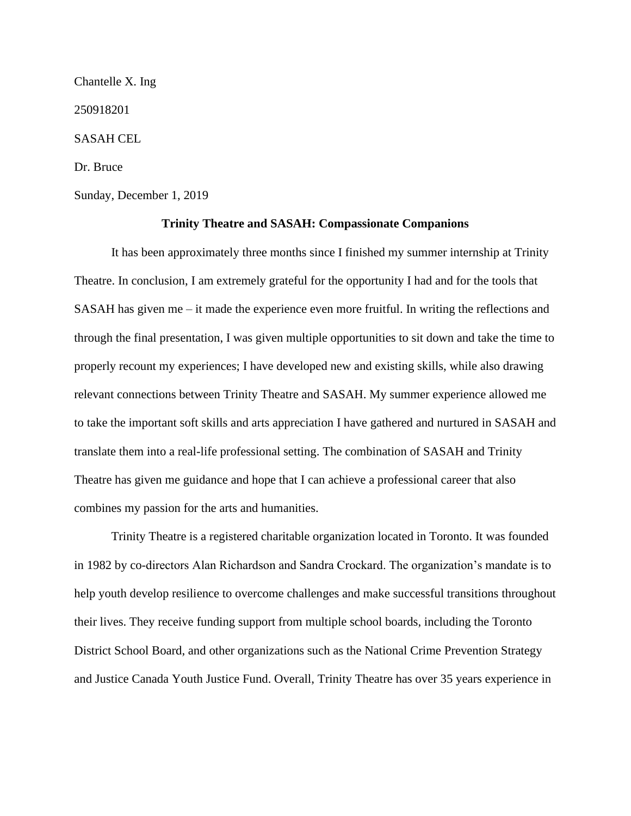Chantelle X. Ing 250918201 SASAH CEL Dr. Bruce Sunday, December 1, 2019

## **Trinity Theatre and SASAH: Compassionate Companions**

It has been approximately three months since I finished my summer internship at Trinity Theatre. In conclusion, I am extremely grateful for the opportunity I had and for the tools that SASAH has given me – it made the experience even more fruitful. In writing the reflections and through the final presentation, I was given multiple opportunities to sit down and take the time to properly recount my experiences; I have developed new and existing skills, while also drawing relevant connections between Trinity Theatre and SASAH. My summer experience allowed me to take the important soft skills and arts appreciation I have gathered and nurtured in SASAH and translate them into a real-life professional setting. The combination of SASAH and Trinity Theatre has given me guidance and hope that I can achieve a professional career that also combines my passion for the arts and humanities.

Trinity Theatre is a registered charitable organization located in Toronto. It was founded in 1982 by co-directors Alan Richardson and Sandra Crockard. The organization's mandate is to help youth develop resilience to overcome challenges and make successful transitions throughout their lives. They receive funding support from multiple school boards, including the Toronto District School Board, and other organizations such as the National Crime Prevention Strategy and Justice Canada Youth Justice Fund. Overall, Trinity Theatre has over 35 years experience in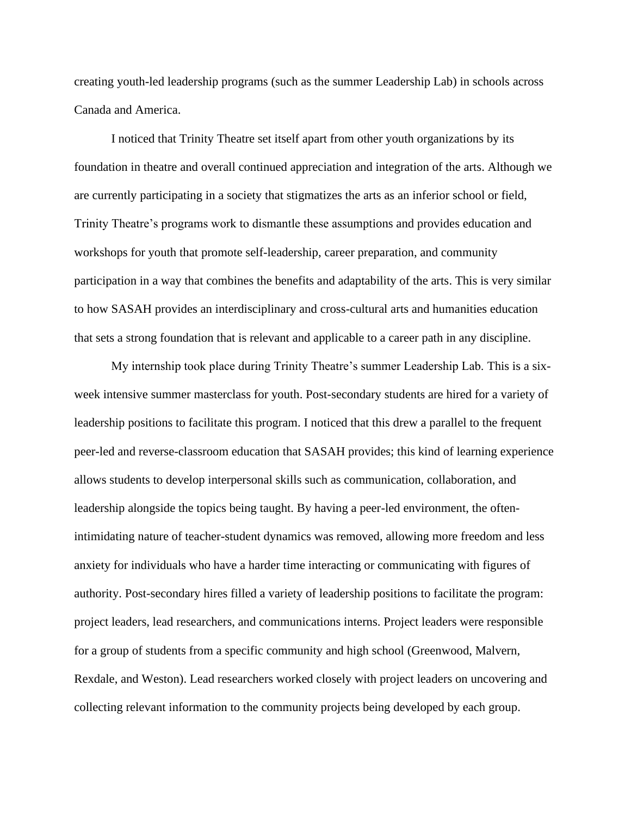creating youth-led leadership programs (such as the summer Leadership Lab) in schools across Canada and America.

I noticed that Trinity Theatre set itself apart from other youth organizations by its foundation in theatre and overall continued appreciation and integration of the arts. Although we are currently participating in a society that stigmatizes the arts as an inferior school or field, Trinity Theatre's programs work to dismantle these assumptions and provides education and workshops for youth that promote self-leadership, career preparation, and community participation in a way that combines the benefits and adaptability of the arts. This is very similar to how SASAH provides an interdisciplinary and cross-cultural arts and humanities education that sets a strong foundation that is relevant and applicable to a career path in any discipline.

My internship took place during Trinity Theatre's summer Leadership Lab. This is a sixweek intensive summer masterclass for youth. Post-secondary students are hired for a variety of leadership positions to facilitate this program. I noticed that this drew a parallel to the frequent peer-led and reverse-classroom education that SASAH provides; this kind of learning experience allows students to develop interpersonal skills such as communication, collaboration, and leadership alongside the topics being taught. By having a peer-led environment, the oftenintimidating nature of teacher-student dynamics was removed, allowing more freedom and less anxiety for individuals who have a harder time interacting or communicating with figures of authority. Post-secondary hires filled a variety of leadership positions to facilitate the program: project leaders, lead researchers, and communications interns. Project leaders were responsible for a group of students from a specific community and high school (Greenwood, Malvern, Rexdale, and Weston). Lead researchers worked closely with project leaders on uncovering and collecting relevant information to the community projects being developed by each group.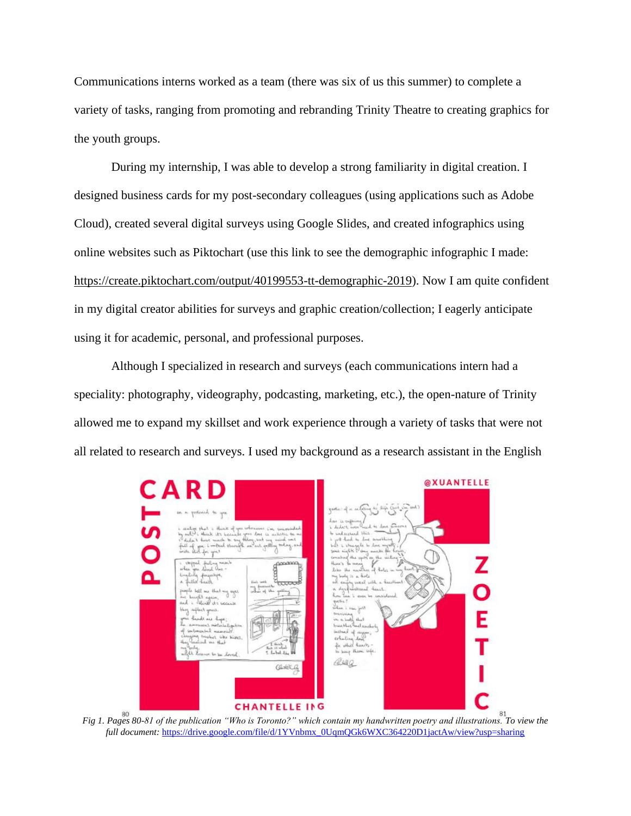Communications interns worked as a team (there was six of us this summer) to complete a variety of tasks, ranging from promoting and rebranding Trinity Theatre to creating graphics for the youth groups.

During my internship, I was able to develop a strong familiarity in digital creation. I designed business cards for my post-secondary colleagues (using applications such as Adobe Cloud), created several digital surveys using Google Slides, and created infographics using online websites such as Piktochart (use this link to see the demographic infographic I made: [https://create.piktochart.com/output/40199553-tt-demographic-2019\)](https://create.piktochart.com/output/40199553-tt-demographic-2019). Now I am quite confident in my digital creator abilities for surveys and graphic creation/collection; I eagerly anticipate using it for academic, personal, and professional purposes.

Although I specialized in research and surveys (each communications intern had a speciality: photography, videography, podcasting, marketing, etc.), the open-nature of Trinity allowed me to expand my skillset and work experience through a variety of tasks that were not all related to research and surveys. I used my background as a research assistant in the English



*Fig 1. Pages 80-81 of the publication "Who is Toronto?" which contain my handwritten poetry and illustrations. To view the full document:* [https://drive.google.com/file/d/1YVnbmx\\_0UqmQGk6WXC364220D1jactAw/view?usp=sharing](https://drive.google.com/file/d/1YVnbmx_0UqmQGk6WXC364220D1jactAw/view?usp=sharing)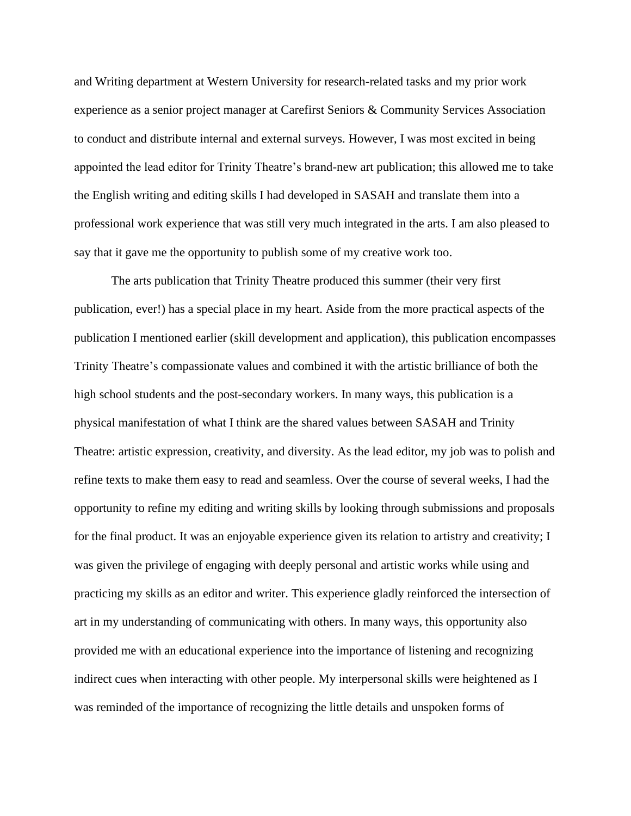and Writing department at Western University for research-related tasks and my prior work experience as a senior project manager at Carefirst Seniors & Community Services Association to conduct and distribute internal and external surveys. However, I was most excited in being appointed the lead editor for Trinity Theatre's brand-new art publication; this allowed me to take the English writing and editing skills I had developed in SASAH and translate them into a professional work experience that was still very much integrated in the arts. I am also pleased to say that it gave me the opportunity to publish some of my creative work too.

The arts publication that Trinity Theatre produced this summer (their very first publication, ever!) has a special place in my heart. Aside from the more practical aspects of the publication I mentioned earlier (skill development and application), this publication encompasses Trinity Theatre's compassionate values and combined it with the artistic brilliance of both the high school students and the post-secondary workers. In many ways, this publication is a physical manifestation of what I think are the shared values between SASAH and Trinity Theatre: artistic expression, creativity, and diversity. As the lead editor, my job was to polish and refine texts to make them easy to read and seamless. Over the course of several weeks, I had the opportunity to refine my editing and writing skills by looking through submissions and proposals for the final product. It was an enjoyable experience given its relation to artistry and creativity; I was given the privilege of engaging with deeply personal and artistic works while using and practicing my skills as an editor and writer. This experience gladly reinforced the intersection of art in my understanding of communicating with others. In many ways, this opportunity also provided me with an educational experience into the importance of listening and recognizing indirect cues when interacting with other people. My interpersonal skills were heightened as I was reminded of the importance of recognizing the little details and unspoken forms of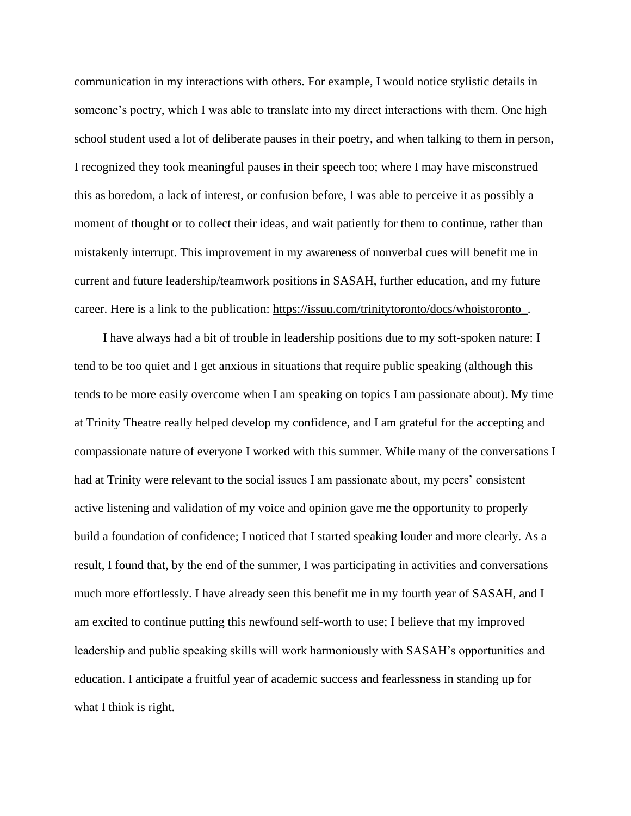communication in my interactions with others. For example, I would notice stylistic details in someone's poetry, which I was able to translate into my direct interactions with them. One high school student used a lot of deliberate pauses in their poetry, and when talking to them in person, I recognized they took meaningful pauses in their speech too; where I may have misconstrued this as boredom, a lack of interest, or confusion before, I was able to perceive it as possibly a moment of thought or to collect their ideas, and wait patiently for them to continue, rather than mistakenly interrupt. This improvement in my awareness of nonverbal cues will benefit me in current and future leadership/teamwork positions in SASAH, further education, and my future career. Here is a link to the publication: [https://issuu.com/trinitytoronto/docs/whoistoronto\\_.](https://issuu.com/trinitytoronto/docs/whoistoronto_)

I have always had a bit of trouble in leadership positions due to my soft-spoken nature: I tend to be too quiet and I get anxious in situations that require public speaking (although this tends to be more easily overcome when I am speaking on topics I am passionate about). My time at Trinity Theatre really helped develop my confidence, and I am grateful for the accepting and compassionate nature of everyone I worked with this summer. While many of the conversations I had at Trinity were relevant to the social issues I am passionate about, my peers' consistent active listening and validation of my voice and opinion gave me the opportunity to properly build a foundation of confidence; I noticed that I started speaking louder and more clearly. As a result, I found that, by the end of the summer, I was participating in activities and conversations much more effortlessly. I have already seen this benefit me in my fourth year of SASAH, and I am excited to continue putting this newfound self-worth to use; I believe that my improved leadership and public speaking skills will work harmoniously with SASAH's opportunities and education. I anticipate a fruitful year of academic success and fearlessness in standing up for what I think is right.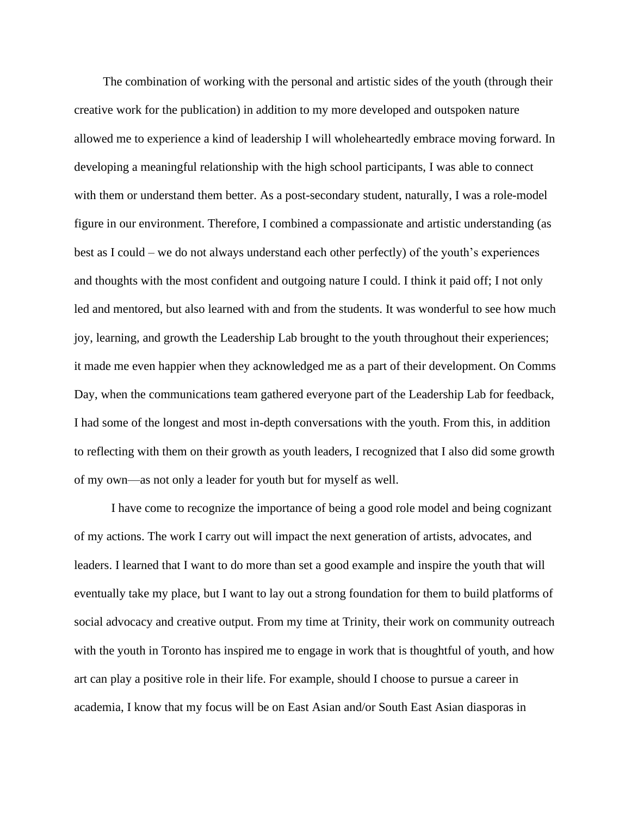The combination of working with the personal and artistic sides of the youth (through their creative work for the publication) in addition to my more developed and outspoken nature allowed me to experience a kind of leadership I will wholeheartedly embrace moving forward. In developing a meaningful relationship with the high school participants, I was able to connect with them or understand them better. As a post-secondary student, naturally, I was a role-model figure in our environment. Therefore, I combined a compassionate and artistic understanding (as best as I could – we do not always understand each other perfectly) of the youth's experiences and thoughts with the most confident and outgoing nature I could. I think it paid off; I not only led and mentored, but also learned with and from the students. It was wonderful to see how much joy, learning, and growth the Leadership Lab brought to the youth throughout their experiences; it made me even happier when they acknowledged me as a part of their development. On Comms Day, when the communications team gathered everyone part of the Leadership Lab for feedback, I had some of the longest and most in-depth conversations with the youth. From this, in addition to reflecting with them on their growth as youth leaders, I recognized that I also did some growth of my own—as not only a leader for youth but for myself as well.

I have come to recognize the importance of being a good role model and being cognizant of my actions. The work I carry out will impact the next generation of artists, advocates, and leaders. I learned that I want to do more than set a good example and inspire the youth that will eventually take my place, but I want to lay out a strong foundation for them to build platforms of social advocacy and creative output. From my time at Trinity, their work on community outreach with the youth in Toronto has inspired me to engage in work that is thoughtful of youth, and how art can play a positive role in their life. For example, should I choose to pursue a career in academia, I know that my focus will be on East Asian and/or South East Asian diasporas in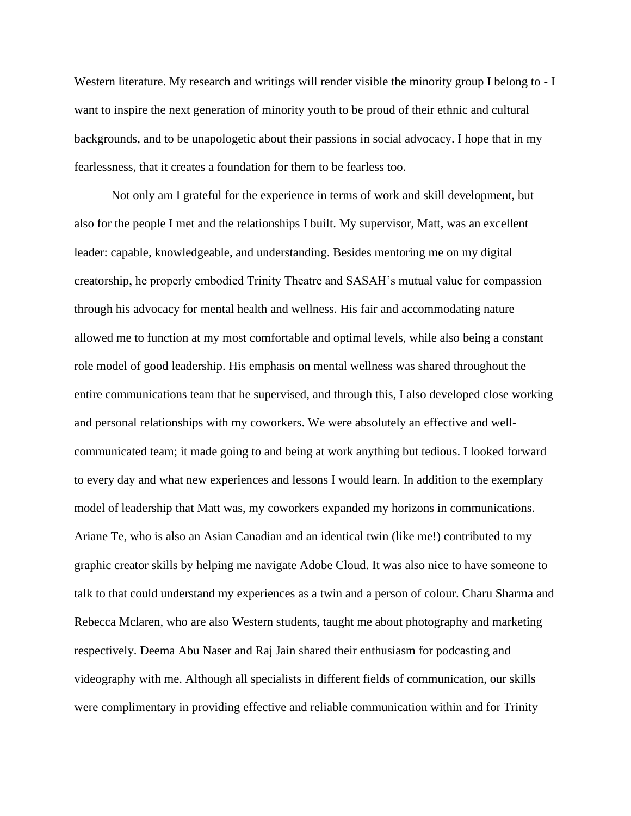Western literature. My research and writings will render visible the minority group I belong to - I want to inspire the next generation of minority youth to be proud of their ethnic and cultural backgrounds, and to be unapologetic about their passions in social advocacy. I hope that in my fearlessness, that it creates a foundation for them to be fearless too.

Not only am I grateful for the experience in terms of work and skill development, but also for the people I met and the relationships I built. My supervisor, Matt, was an excellent leader: capable, knowledgeable, and understanding. Besides mentoring me on my digital creatorship, he properly embodied Trinity Theatre and SASAH's mutual value for compassion through his advocacy for mental health and wellness. His fair and accommodating nature allowed me to function at my most comfortable and optimal levels, while also being a constant role model of good leadership. His emphasis on mental wellness was shared throughout the entire communications team that he supervised, and through this, I also developed close working and personal relationships with my coworkers. We were absolutely an effective and wellcommunicated team; it made going to and being at work anything but tedious. I looked forward to every day and what new experiences and lessons I would learn. In addition to the exemplary model of leadership that Matt was, my coworkers expanded my horizons in communications. Ariane Te, who is also an Asian Canadian and an identical twin (like me!) contributed to my graphic creator skills by helping me navigate Adobe Cloud. It was also nice to have someone to talk to that could understand my experiences as a twin and a person of colour. Charu Sharma and Rebecca Mclaren, who are also Western students, taught me about photography and marketing respectively. Deema Abu Naser and Raj Jain shared their enthusiasm for podcasting and videography with me. Although all specialists in different fields of communication, our skills were complimentary in providing effective and reliable communication within and for Trinity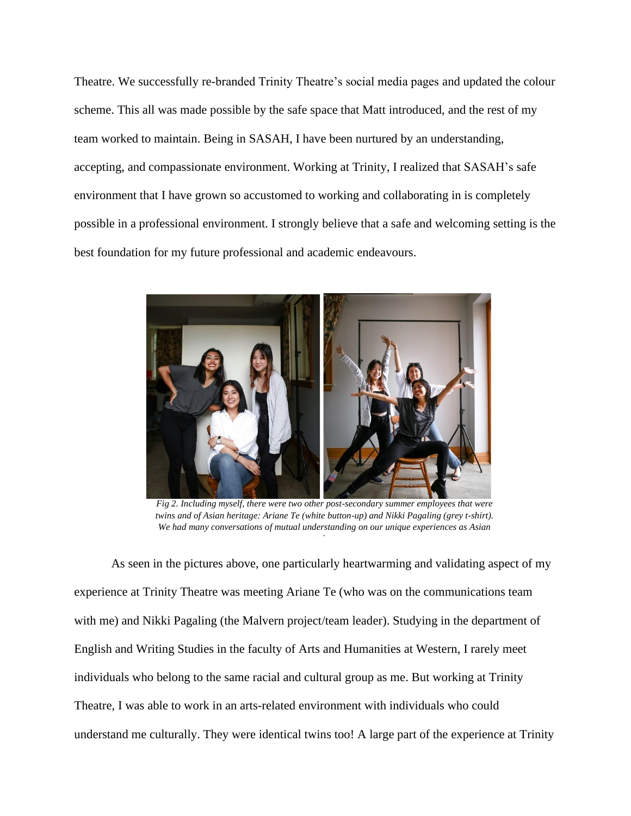Theatre. We successfully re-branded Trinity Theatre's social media pages and updated the colour scheme. This all was made possible by the safe space that Matt introduced, and the rest of my team worked to maintain. Being in SASAH, I have been nurtured by an understanding, accepting, and compassionate environment. Working at Trinity, I realized that SASAH's safe environment that I have grown so accustomed to working and collaborating in is completely possible in a professional environment. I strongly believe that a safe and welcoming setting is the best foundation for my future professional and academic endeavours.



*Fig 2. Including myself, there were two other post-secondary summer employees that were twins and of Asian heritage: Ariane Te (white button-up) and Nikki Pagaling (grey t-shirt). We had many conversations of mutual understanding on our unique experiences as Asian* 

*twins.*

As seen in the pictures above, one particularly heartwarming and validating aspect of my experience at Trinity Theatre was meeting Ariane Te (who was on the communications team with me) and Nikki Pagaling (the Malvern project/team leader). Studying in the department of English and Writing Studies in the faculty of Arts and Humanities at Western, I rarely meet individuals who belong to the same racial and cultural group as me. But working at Trinity Theatre, I was able to work in an arts-related environment with individuals who could understand me culturally. They were identical twins too! A large part of the experience at Trinity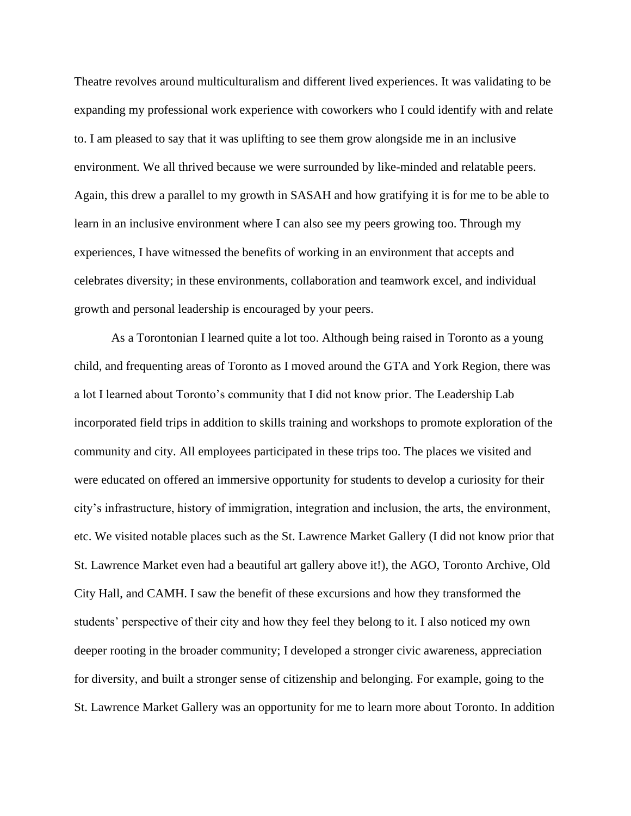Theatre revolves around multiculturalism and different lived experiences. It was validating to be expanding my professional work experience with coworkers who I could identify with and relate to. I am pleased to say that it was uplifting to see them grow alongside me in an inclusive environment. We all thrived because we were surrounded by like-minded and relatable peers. Again, this drew a parallel to my growth in SASAH and how gratifying it is for me to be able to learn in an inclusive environment where I can also see my peers growing too. Through my experiences, I have witnessed the benefits of working in an environment that accepts and celebrates diversity; in these environments, collaboration and teamwork excel, and individual growth and personal leadership is encouraged by your peers.

As a Torontonian I learned quite a lot too. Although being raised in Toronto as a young child, and frequenting areas of Toronto as I moved around the GTA and York Region, there was a lot I learned about Toronto's community that I did not know prior. The Leadership Lab incorporated field trips in addition to skills training and workshops to promote exploration of the community and city. All employees participated in these trips too. The places we visited and were educated on offered an immersive opportunity for students to develop a curiosity for their city's infrastructure, history of immigration, integration and inclusion, the arts, the environment, etc. We visited notable places such as the St. Lawrence Market Gallery (I did not know prior that St. Lawrence Market even had a beautiful art gallery above it!), the AGO, Toronto Archive, Old City Hall, and CAMH. I saw the benefit of these excursions and how they transformed the students' perspective of their city and how they feel they belong to it. I also noticed my own deeper rooting in the broader community; I developed a stronger civic awareness, appreciation for diversity, and built a stronger sense of citizenship and belonging. For example, going to the St. Lawrence Market Gallery was an opportunity for me to learn more about Toronto. In addition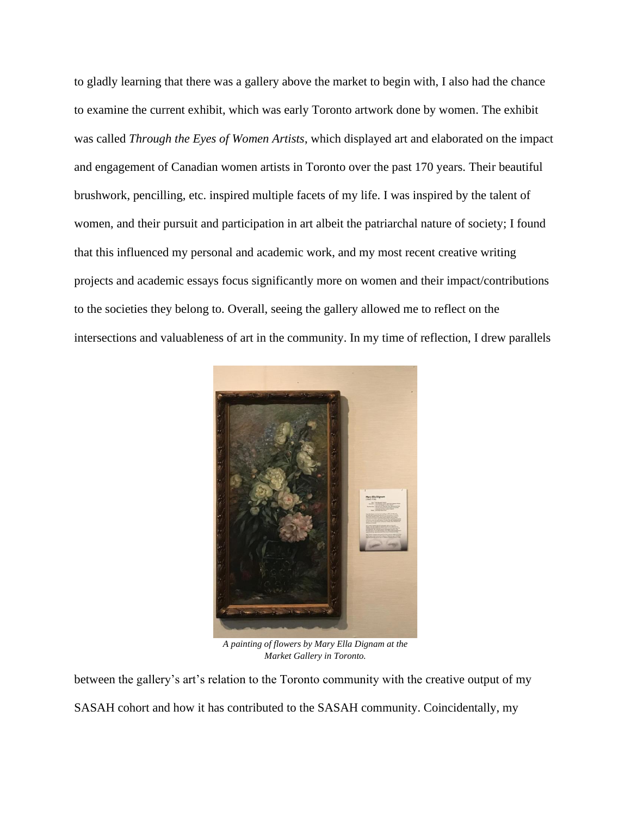to gladly learning that there was a gallery above the market to begin with, I also had the chance to examine the current exhibit, which was early Toronto artwork done by women. The exhibit was called *Through the Eyes of Women Artists*, which displayed art and elaborated on the impact and engagement of Canadian women artists in Toronto over the past 170 years. Their beautiful brushwork, pencilling, etc. inspired multiple facets of my life. I was inspired by the talent of women, and their pursuit and participation in art albeit the patriarchal nature of society; I found that this influenced my personal and academic work, and my most recent creative writing projects and academic essays focus significantly more on women and their impact/contributions to the societies they belong to. Overall, seeing the gallery allowed me to reflect on the intersections and valuableness of art in the community. In my time of reflection, I drew parallels



*A painting of flowers by Mary Ella Dignam at the Market Gallery in Toronto.*

between the gallery's art's relation to the Toronto community with the creative output of my SASAH cohort and how it has contributed to the SASAH community. Coincidentally, my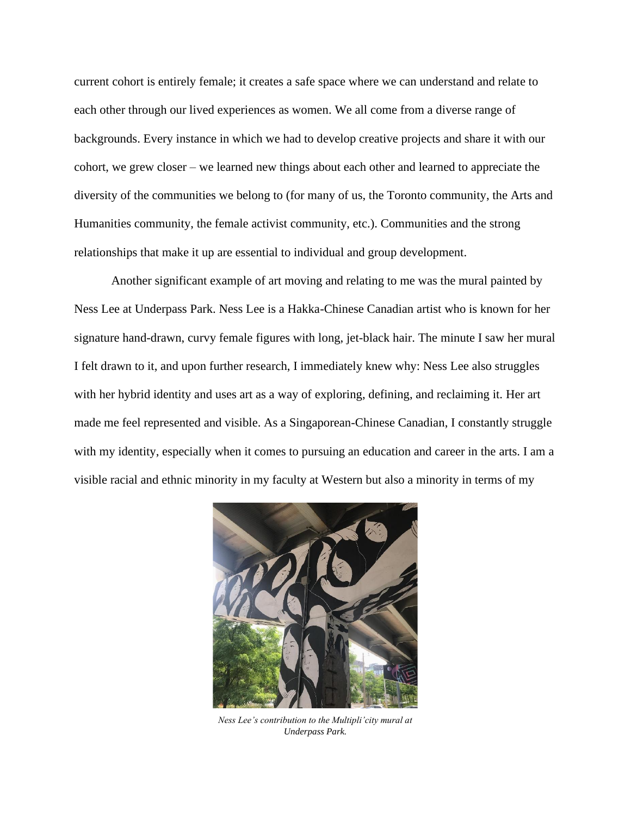current cohort is entirely female; it creates a safe space where we can understand and relate to each other through our lived experiences as women. We all come from a diverse range of backgrounds. Every instance in which we had to develop creative projects and share it with our cohort, we grew closer – we learned new things about each other and learned to appreciate the diversity of the communities we belong to (for many of us, the Toronto community, the Arts and Humanities community, the female activist community, etc.). Communities and the strong relationships that make it up are essential to individual and group development.

Another significant example of art moving and relating to me was the mural painted by Ness Lee at Underpass Park. Ness Lee is a Hakka-Chinese Canadian artist who is known for her signature hand-drawn, curvy female figures with long, jet-black hair. The minute I saw her mural I felt drawn to it, and upon further research, I immediately knew why: Ness Lee also struggles with her hybrid identity and uses art as a way of exploring, defining, and reclaiming it. Her art made me feel represented and visible. As a Singaporean-Chinese Canadian, I constantly struggle with my identity, especially when it comes to pursuing an education and career in the arts. I am a visible racial and ethnic minority in my faculty at Western but also a minority in terms of my



*Ness Lee's contribution to the Multipli'city mural at Underpass Park.*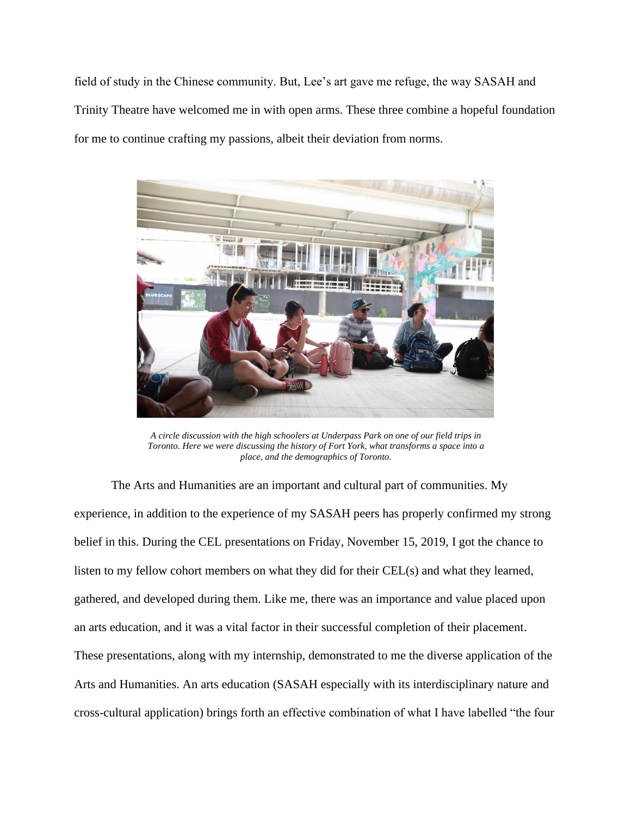field of study in the Chinese community. But, Lee's art gave me refuge, the way SASAH and Trinity Theatre have welcomed me in with open arms. These three combine a hopeful foundation for me to continue crafting my passions, albeit their deviation from norms.



*A circle discussion with the high schoolers at Underpass Park on one of our field trips in Toronto. Here we were discussing the history of Fort York, what transforms a space into a place, and the demographics of Toronto.*

The Arts and Humanities are an important and cultural part of communities. My experience, in addition to the experience of my SASAH peers has properly confirmed my strong belief in this. During the CEL presentations on Friday, November 15, 2019, I got the chance to listen to my fellow cohort members on what they did for their CEL(s) and what they learned, gathered, and developed during them. Like me, there was an importance and value placed upon an arts education, and it was a vital factor in their successful completion of their placement. These presentations, along with my internship, demonstrated to me the diverse application of the Arts and Humanities. An arts education (SASAH especially with its interdisciplinary nature and cross-cultural application) brings forth an effective combination of what I have labelled "the four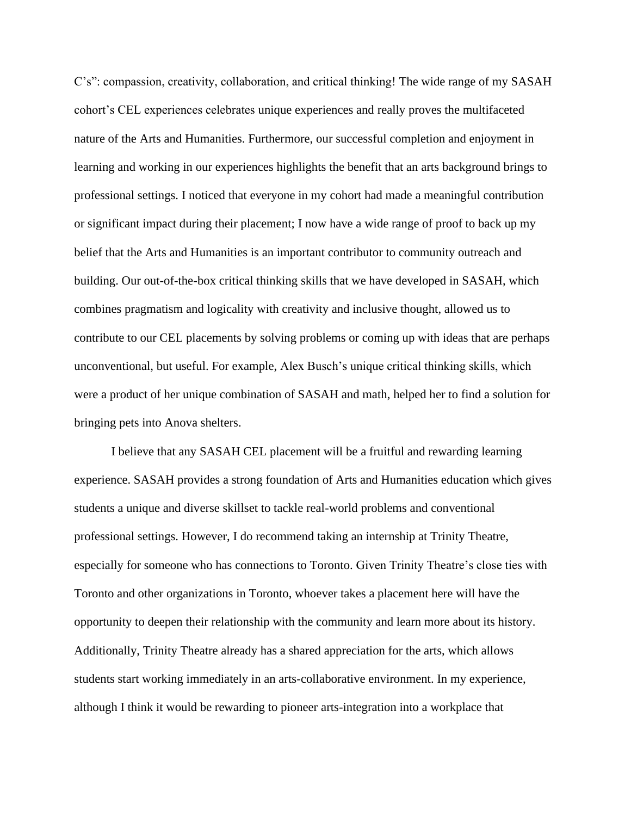C's": compassion, creativity, collaboration, and critical thinking! The wide range of my SASAH cohort's CEL experiences celebrates unique experiences and really proves the multifaceted nature of the Arts and Humanities. Furthermore, our successful completion and enjoyment in learning and working in our experiences highlights the benefit that an arts background brings to professional settings. I noticed that everyone in my cohort had made a meaningful contribution or significant impact during their placement; I now have a wide range of proof to back up my belief that the Arts and Humanities is an important contributor to community outreach and building. Our out-of-the-box critical thinking skills that we have developed in SASAH, which combines pragmatism and logicality with creativity and inclusive thought, allowed us to contribute to our CEL placements by solving problems or coming up with ideas that are perhaps unconventional, but useful. For example, Alex Busch's unique critical thinking skills, which were a product of her unique combination of SASAH and math, helped her to find a solution for bringing pets into Anova shelters.

I believe that any SASAH CEL placement will be a fruitful and rewarding learning experience. SASAH provides a strong foundation of Arts and Humanities education which gives students a unique and diverse skillset to tackle real-world problems and conventional professional settings. However, I do recommend taking an internship at Trinity Theatre, especially for someone who has connections to Toronto. Given Trinity Theatre's close ties with Toronto and other organizations in Toronto, whoever takes a placement here will have the opportunity to deepen their relationship with the community and learn more about its history. Additionally, Trinity Theatre already has a shared appreciation for the arts, which allows students start working immediately in an arts-collaborative environment. In my experience, although I think it would be rewarding to pioneer arts-integration into a workplace that